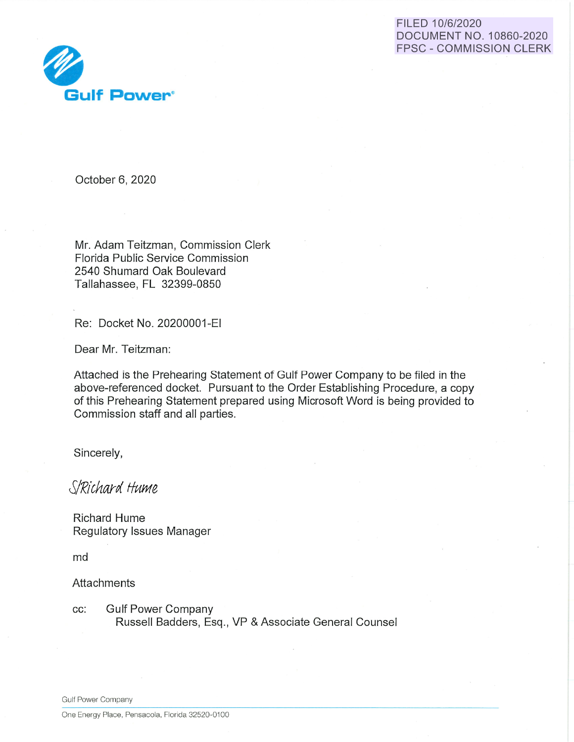



October 6, 2020

Mr. Adam Teitzman, Commission Clerk Florida Public Service Commission 2540 Shumard Oak Boulevard Tallahassee, FL 32399-0850

Re: Docket No. 20200001-EI

Dear Mr. Teitzman:

Attached is the Prehearing Statement of Gulf Power Company to be filed in the above-referenced docket. Pursuant to the Order Establishing Procedure, a copy of this Prehearing Statement prepared using Microsoft Word is being provided to Commission staff and all parties.

Sincerely,

*SlRichard Hume* 

Richard Hume Regulatory Issues Manager

md

**Attachments** 

cc: Gulf Power Company Russell Badders, Esq., VP & Associate General Counsel

Gulf Power Company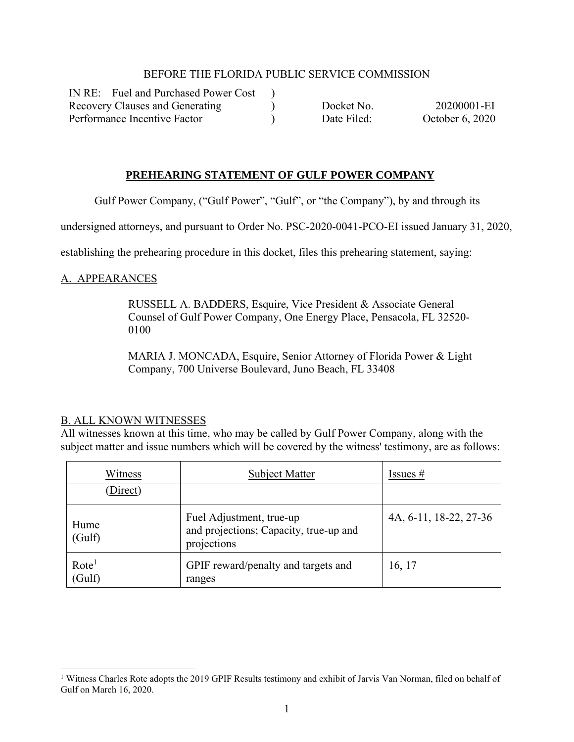#### BEFORE THE FLORIDA PUBLIC SERVICE COMMISSION

 $\lambda$  $\mathcal{L}$ )

IN RE: Fuel and Purchased Power Cost Recovery Clauses and Generating Performance Incentive Factor

 Docket No. 20200001-EI Date Filed: October 6, 2020

### **PREHEARING STATEMENT OF GULF POWER COMPANY**

Gulf Power Company, ("Gulf Power", "Gulf", or "the Company"), by and through its

undersigned attorneys, and pursuant to Order No. PSC-2020-0041-PCO-EI issued January 31, 2020,

establishing the prehearing procedure in this docket, files this prehearing statement, saying:

### A. APPEARANCES

RUSSELL A. BADDERS, Esquire, Vice President & Associate General Counsel of Gulf Power Company, One Energy Place, Pensacola, FL 32520- 0100

MARIA J. MONCADA, Esquire, Senior Attorney of Florida Power & Light Company, 700 Universe Boulevard, Juno Beach, FL 33408

#### B. ALL KNOWN WITNESSES

All witnesses known at this time, who may be called by Gulf Power Company, along with the subject matter and issue numbers which will be covered by the witness' testimony, are as follows:

| Witness                     | <b>Subject Matter</b>                                                             | Issues $#$             |  |
|-----------------------------|-----------------------------------------------------------------------------------|------------------------|--|
| Direct)                     |                                                                                   |                        |  |
| Hume<br>(Gulf)              | Fuel Adjustment, true-up<br>and projections; Capacity, true-up and<br>projections | 4A, 6-11, 18-22, 27-36 |  |
| Rote <sup>1</sup><br>(Gulf) | GPIF reward/penalty and targets and<br>ranges                                     | 16, 17                 |  |

<sup>&</sup>lt;sup>1</sup> Witness Charles Rote adopts the 2019 GPIF Results testimony and exhibit of Jarvis Van Norman, filed on behalf of Gulf on March 16, 2020.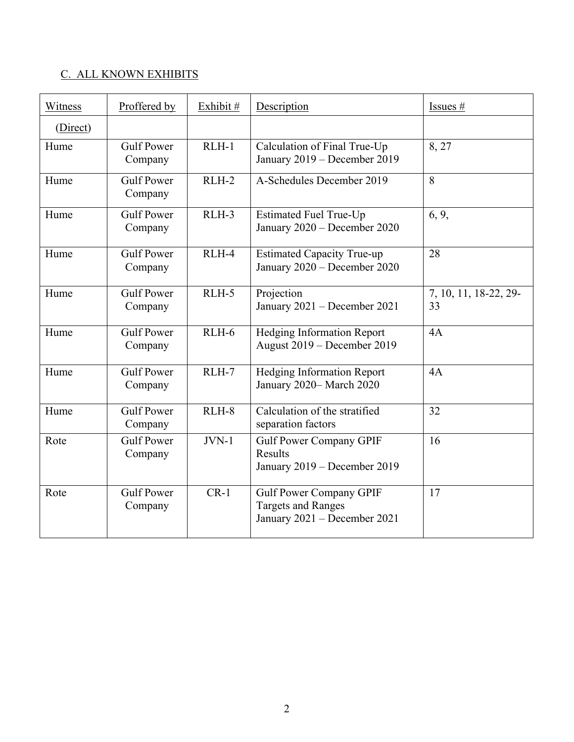# C. ALL KNOWN EXHIBITS

| Witness  | Proffered by                 | Exhibit # | Description                                                                                 | Issues #                    |
|----------|------------------------------|-----------|---------------------------------------------------------------------------------------------|-----------------------------|
| (Direct) |                              |           |                                                                                             |                             |
| Hume     | <b>Gulf Power</b><br>Company | $RLH-1$   | Calculation of Final True-Up<br>January 2019 - December 2019                                | 8, 27                       |
| Hume     | <b>Gulf Power</b><br>Company | $RLH-2$   | A-Schedules December 2019                                                                   | 8                           |
| Hume     | <b>Gulf Power</b><br>Company | RLH-3     | Estimated Fuel True-Up<br>January 2020 - December 2020                                      | 6, 9,                       |
| Hume     | <b>Gulf Power</b><br>Company | RLH-4     | <b>Estimated Capacity True-up</b><br>January 2020 - December 2020                           | 28                          |
| Hume     | <b>Gulf Power</b><br>Company | $RLH-5$   | Projection<br>January 2021 - December 2021                                                  | 7, 10, 11, 18-22, 29-<br>33 |
| Hume     | <b>Gulf Power</b><br>Company | $RLH-6$   | <b>Hedging Information Report</b><br>August 2019 - December 2019                            | 4A                          |
| Hume     | <b>Gulf Power</b><br>Company | $RLH-7$   | Hedging Information Report<br>January 2020-March 2020                                       | 4A                          |
| Hume     | <b>Gulf Power</b><br>Company | RLH-8     | Calculation of the stratified<br>separation factors                                         | 32                          |
| Rote     | <b>Gulf Power</b><br>Company | $JVN-1$   | <b>Gulf Power Company GPIF</b><br>Results<br>January 2019 – December 2019                   | 16                          |
| Rote     | <b>Gulf Power</b><br>Company | $CR-1$    | <b>Gulf Power Company GPIF</b><br><b>Targets and Ranges</b><br>January 2021 - December 2021 | 17                          |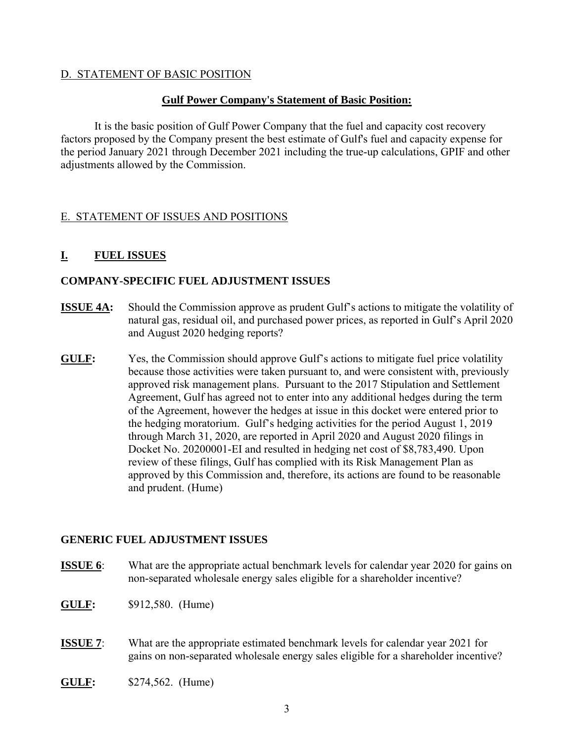### D. STATEMENT OF BASIC POSITION

### **Gulf Power Company's Statement of Basic Position:**

It is the basic position of Gulf Power Company that the fuel and capacity cost recovery factors proposed by the Company present the best estimate of Gulf's fuel and capacity expense for the period January 2021 through December 2021 including the true-up calculations, GPIF and other adjustments allowed by the Commission.

## E. STATEMENT OF ISSUES AND POSITIONS

## **I. FUEL ISSUES**

### **COMPANY-SPECIFIC FUEL ADJUSTMENT ISSUES**

- **ISSUE 4A:** Should the Commission approve as prudent Gulf's actions to mitigate the volatility of natural gas, residual oil, and purchased power prices, as reported in Gulf's April 2020 and August 2020 hedging reports?
- **GULF:** Yes, the Commission should approve Gulf's actions to mitigate fuel price volatility because those activities were taken pursuant to, and were consistent with, previously approved risk management plans. Pursuant to the 2017 Stipulation and Settlement Agreement, Gulf has agreed not to enter into any additional hedges during the term of the Agreement, however the hedges at issue in this docket were entered prior to the hedging moratorium. Gulf's hedging activities for the period August 1, 2019 through March 31, 2020, are reported in April 2020 and August 2020 filings in Docket No. 20200001-EI and resulted in hedging net cost of \$8,783,490. Upon review of these filings, Gulf has complied with its Risk Management Plan as approved by this Commission and, therefore, its actions are found to be reasonable and prudent. (Hume)

### **GENERIC FUEL ADJUSTMENT ISSUES**

**ISSUE 6**: What are the appropriate actual benchmark levels for calendar year 2020 for gains on non-separated wholesale energy sales eligible for a shareholder incentive?

- **GULF:** \$912,580. (Hume)
- **ISSUE 7:** What are the appropriate estimated benchmark levels for calendar year 2021 for gains on non-separated wholesale energy sales eligible for a shareholder incentive?
- **GULF:** \$274,562. (Hume)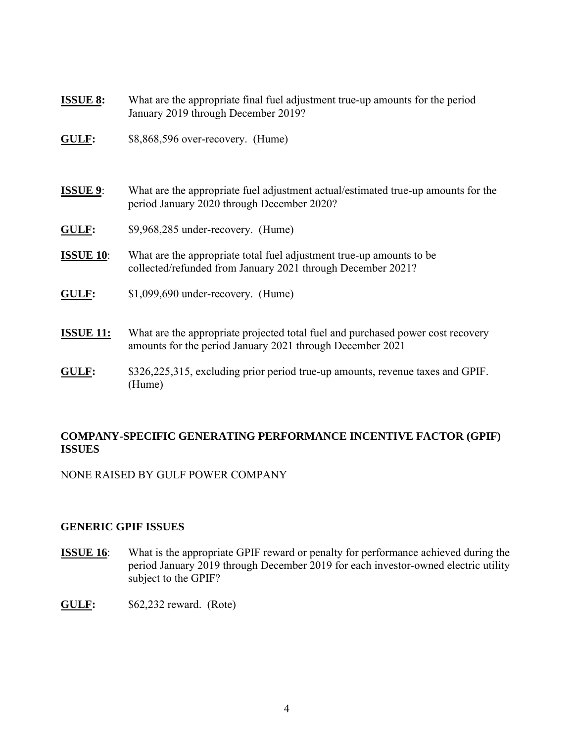- **ISSUE 8:** What are the appropriate final fuel adjustment true-up amounts for the period January 2019 through December 2019?
- **GULF:** \$8,868,596 over-recovery. (Hume)
- **ISSUE 9**: What are the appropriate fuel adjustment actual/estimated true-up amounts for the period January 2020 through December 2020?
- **GULF:** \$9,968,285 under-recovery. (Hume)
- **ISSUE 10**: What are the appropriate total fuel adjustment true-up amounts to be collected/refunded from January 2021 through December 2021?
- **GULF:** \$1,099,690 under-recovery. (Hume)
- **ISSUE 11:** What are the appropriate projected total fuel and purchased power cost recovery amounts for the period January 2021 through December 2021
- **GULF:** \$326,225,315, excluding prior period true-up amounts, revenue taxes and GPIF. (Hume)

### **COMPANY-SPECIFIC GENERATING PERFORMANCE INCENTIVE FACTOR (GPIF) ISSUES**

NONE RAISED BY GULF POWER COMPANY

### **GENERIC GPIF ISSUES**

- **ISSUE 16:** What is the appropriate GPIF reward or penalty for performance achieved during the period January 2019 through December 2019 for each investor-owned electric utility subject to the GPIF?
- **GULF:** \$62,232 reward. (Rote)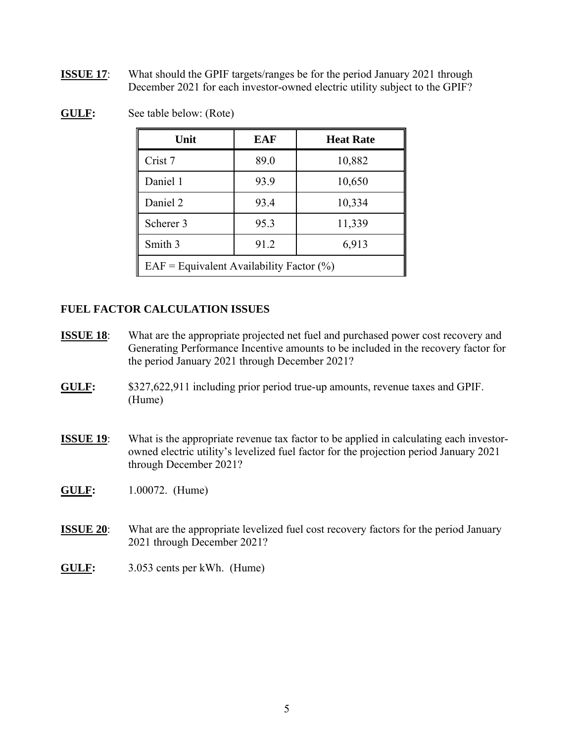**ISSUE 17:** What should the GPIF targets/ranges be for the period January 2021 through December 2021 for each investor-owned electric utility subject to the GPIF?

| Unit                                          | <b>EAF</b> | <b>Heat Rate</b> |  |
|-----------------------------------------------|------------|------------------|--|
| Crist 7                                       | 89.0       | 10,882           |  |
| Daniel 1                                      | 93.9       | 10,650           |  |
| Daniel 2                                      | 93.4       | 10,334           |  |
| Scherer 3                                     | 95.3       | 11,339           |  |
| Smith 3                                       | 91.2       | 6,913            |  |
| $EAF =$ Equivalent Availability Factor $(\%)$ |            |                  |  |

**GULF:** See table below: (Rote)

## **FUEL FACTOR CALCULATION ISSUES**

- **ISSUE 18:** What are the appropriate projected net fuel and purchased power cost recovery and Generating Performance Incentive amounts to be included in the recovery factor for the period January 2021 through December 2021?
- **GULF:** \$327,622,911 including prior period true-up amounts, revenue taxes and GPIF. (Hume)
- **ISSUE 19:** What is the appropriate revenue tax factor to be applied in calculating each investorowned electric utility's levelized fuel factor for the projection period January 2021 through December 2021?
- **GULF:** 1.00072. (Hume)
- **ISSUE 20:** What are the appropriate levelized fuel cost recovery factors for the period January 2021 through December 2021?
- **GULF:** 3.053 cents per kWh. (Hume)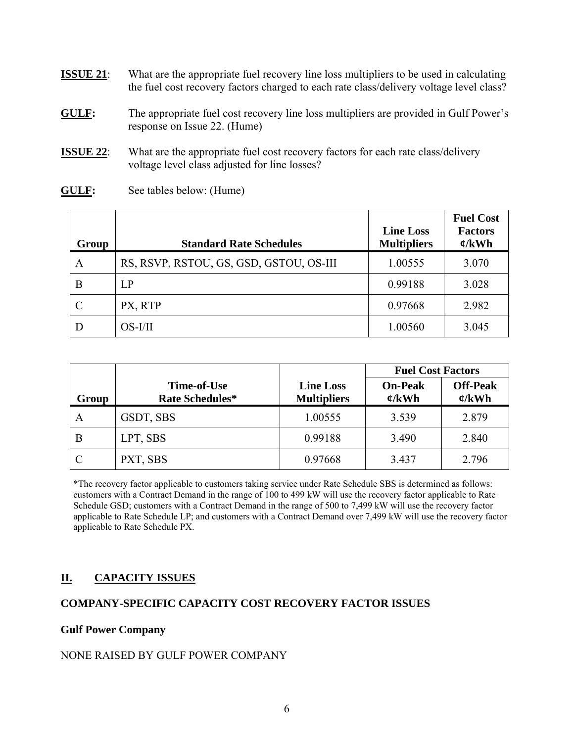- **ISSUE 21:** What are the appropriate fuel recovery line loss multipliers to be used in calculating the fuel cost recovery factors charged to each rate class/delivery voltage level class?
- **GULF:** The appropriate fuel cost recovery line loss multipliers are provided in Gulf Power's response on Issue 22. (Hume)
- **ISSUE 22:** What are the appropriate fuel cost recovery factors for each rate class/delivery voltage level class adjusted for line losses?
- **GULF:** See tables below: (Hume)

| Group | <b>Standard Rate Schedules</b>          | <b>Line Loss</b><br><b>Multipliers</b> | <b>Fuel Cost</b><br><b>Factors</b><br>$\mathfrak{C}/kWh$ |
|-------|-----------------------------------------|----------------------------------------|----------------------------------------------------------|
| A     | RS, RSVP, RSTOU, GS, GSD, GSTOU, OS-III | 1.00555                                | 3.070                                                    |
| B     | LP                                      | 0.99188                                | 3.028                                                    |
| C     | PX, RTP                                 | 0.97668                                | 2.982                                                    |
|       | $OS-I/II$                               | 1.00560                                | 3.045                                                    |

|       |                                       |                                        | <b>Fuel Cost Factors</b>             |                                       |
|-------|---------------------------------------|----------------------------------------|--------------------------------------|---------------------------------------|
| Group | Time-of-Use<br><b>Rate Schedules*</b> | <b>Line Loss</b><br><b>Multipliers</b> | <b>On-Peak</b><br>$\mathfrak{C}/kWh$ | <b>Off-Peak</b><br>$\mathfrak{C}/kWh$ |
| A     | GSDT, SBS                             | 1.00555                                | 3.539                                | 2.879                                 |
| B     | LPT, SBS                              | 0.99188                                | 3.490                                | 2.840                                 |
|       | PXT, SBS                              | 0.97668                                | 3.437                                | 2.796                                 |

\*The recovery factor applicable to customers taking service under Rate Schedule SBS is determined as follows: customers with a Contract Demand in the range of 100 to 499 kW will use the recovery factor applicable to Rate Schedule GSD; customers with a Contract Demand in the range of 500 to 7,499 kW will use the recovery factor applicable to Rate Schedule LP; and customers with a Contract Demand over 7,499 kW will use the recovery factor applicable to Rate Schedule PX.

# **II. CAPACITY ISSUES**

## **COMPANY-SPECIFIC CAPACITY COST RECOVERY FACTOR ISSUES**

### **Gulf Power Company**

### NONE RAISED BY GULF POWER COMPANY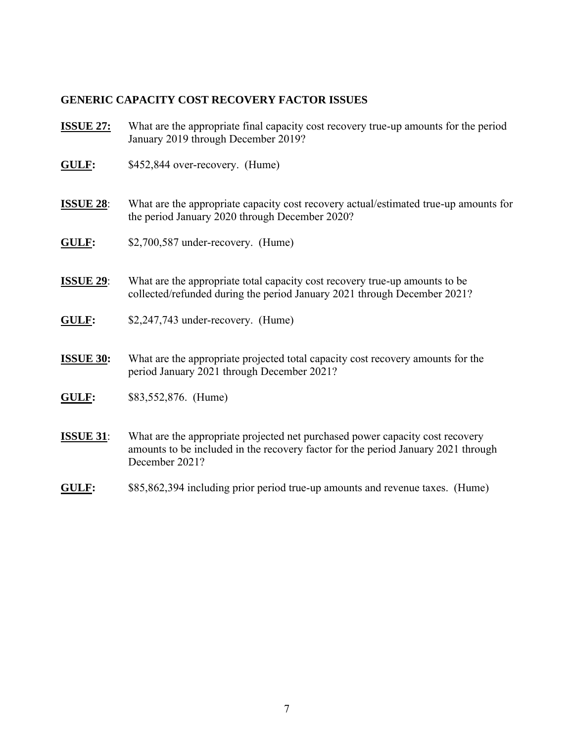## **GENERIC CAPACITY COST RECOVERY FACTOR ISSUES**

- **ISSUE 27:** What are the appropriate final capacity cost recovery true-up amounts for the period January 2019 through December 2019?
- **GULF:** \$452,844 over-recovery. (Hume)
- **ISSUE 28:** What are the appropriate capacity cost recovery actual/estimated true-up amounts for the period January 2020 through December 2020?
- **GULF:** \$2,700,587 under-recovery. (Hume)
- **ISSUE 29:** What are the appropriate total capacity cost recovery true-up amounts to be collected/refunded during the period January 2021 through December 2021?
- **GULF:** \$2,247,743 under-recovery. (Hume)
- **ISSUE 30:** What are the appropriate projected total capacity cost recovery amounts for the period January 2021 through December 2021?
- **GULF:** \$83,552,876. (Hume)
- **ISSUE 31**: What are the appropriate projected net purchased power capacity cost recovery amounts to be included in the recovery factor for the period January 2021 through December 2021?
- **GULF:** \$85,862,394 including prior period true-up amounts and revenue taxes. (Hume)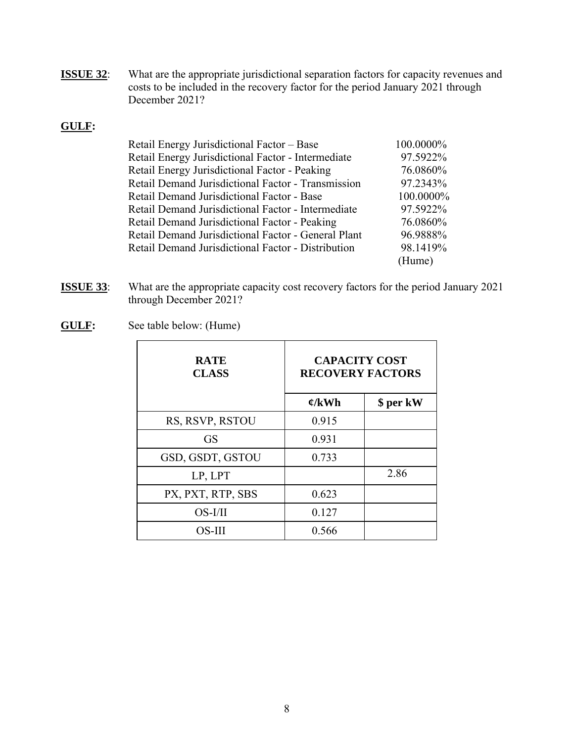**ISSUE 32:** What are the appropriate jurisdictional separation factors for capacity revenues and costs to be included in the recovery factor for the period January 2021 through December 2021?

## **GULF:**

| Retail Energy Jurisdictional Factor - Base          | 100.0000% |
|-----------------------------------------------------|-----------|
| Retail Energy Jurisdictional Factor - Intermediate  | 97.5922%  |
| Retail Energy Jurisdictional Factor - Peaking       | 76.0860%  |
| Retail Demand Jurisdictional Factor - Transmission  | 97.2343%  |
| Retail Demand Jurisdictional Factor - Base          | 100.0000% |
| Retail Demand Jurisdictional Factor - Intermediate  | 97.5922%  |
| Retail Demand Jurisdictional Factor - Peaking       | 76.0860%  |
| Retail Demand Jurisdictional Factor - General Plant | 96.9888%  |
| Retail Demand Jurisdictional Factor - Distribution  | 98.1419%  |
|                                                     | (Hume)    |

- **ISSUE 33**: What are the appropriate capacity cost recovery factors for the period January 2021 through December 2021?
- **GULF:** See table below: (Hume)

| <b>RATE</b><br><b>CLASS</b> | <b>CAPACITY COST</b><br><b>RECOVERY FACTORS</b> |           |
|-----------------------------|-------------------------------------------------|-----------|
|                             | $\mathfrak{C}/kWh$                              | \$ per kW |
| RS, RSVP, RSTOU             | 0.915                                           |           |
| <b>GS</b>                   | 0.931                                           |           |
| GSD, GSDT, GSTOU            | 0.733                                           |           |
| LP, LPT                     |                                                 | 2.86      |
| PX, PXT, RTP, SBS           | 0.623                                           |           |
| $OS-I/II$                   | 0.127                                           |           |
| OS-III                      | 0.566                                           |           |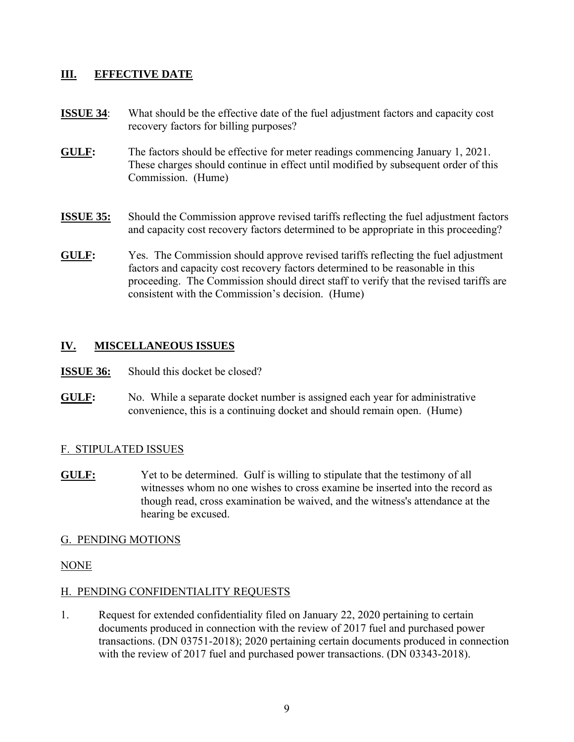## **III. EFFECTIVE DATE**

- **ISSUE 34:** What should be the effective date of the fuel adjustment factors and capacity cost recovery factors for billing purposes?
- **GULF:** The factors should be effective for meter readings commencing January 1, 2021. These charges should continue in effect until modified by subsequent order of this Commission. (Hume)
- **ISSUE 35:** Should the Commission approve revised tariffs reflecting the fuel adjustment factors and capacity cost recovery factors determined to be appropriate in this proceeding?
- **GULF:** Yes. The Commission should approve revised tariffs reflecting the fuel adjustment factors and capacity cost recovery factors determined to be reasonable in this proceeding. The Commission should direct staff to verify that the revised tariffs are consistent with the Commission's decision. (Hume)

## **IV. MISCELLANEOUS ISSUES**

- **ISSUE 36:** Should this docket be closed?
- **GULF:** No. While a separate docket number is assigned each year for administrative convenience, this is a continuing docket and should remain open. (Hume)

## F. STIPULATED ISSUES

**GULF:** Yet to be determined. Gulf is willing to stipulate that the testimony of all witnesses whom no one wishes to cross examine be inserted into the record as though read, cross examination be waived, and the witness's attendance at the hearing be excused.

## G. PENDING MOTIONS

## NONE

## H. PENDING CONFIDENTIALITY REQUESTS

1. Request for extended confidentiality filed on January 22, 2020 pertaining to certain documents produced in connection with the review of 2017 fuel and purchased power transactions. (DN 03751-2018); 2020 pertaining certain documents produced in connection with the review of 2017 fuel and purchased power transactions. (DN 03343-2018).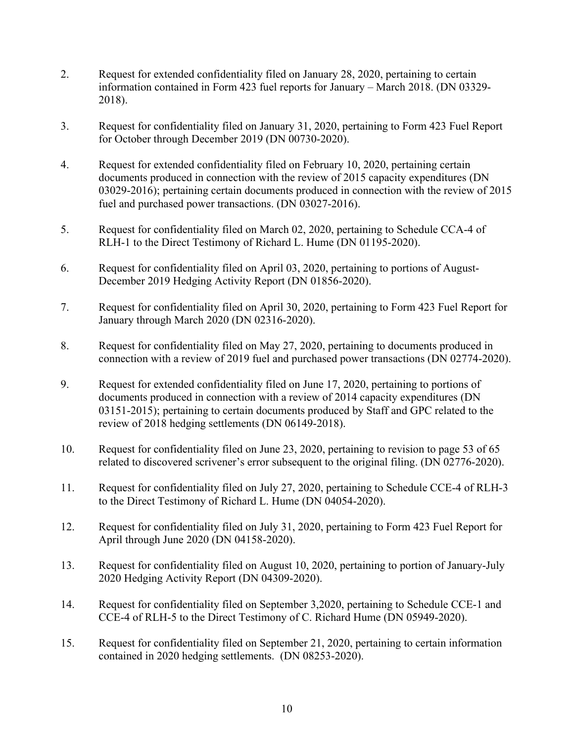- 2. Request for extended confidentiality filed on January 28, 2020, pertaining to certain information contained in Form 423 fuel reports for January – March 2018. (DN 03329- 2018).
- 3. Request for confidentiality filed on January 31, 2020, pertaining to Form 423 Fuel Report for October through December 2019 (DN 00730-2020).
- 4. Request for extended confidentiality filed on February 10, 2020, pertaining certain documents produced in connection with the review of 2015 capacity expenditures (DN 03029-2016); pertaining certain documents produced in connection with the review of 2015 fuel and purchased power transactions. (DN 03027-2016).
- 5. Request for confidentiality filed on March 02, 2020, pertaining to Schedule CCA-4 of RLH-1 to the Direct Testimony of Richard L. Hume (DN 01195-2020).
- 6. Request for confidentiality filed on April 03, 2020, pertaining to portions of August-December 2019 Hedging Activity Report (DN 01856-2020).
- 7. Request for confidentiality filed on April 30, 2020, pertaining to Form 423 Fuel Report for January through March 2020 (DN 02316-2020).
- 8. Request for confidentiality filed on May 27, 2020, pertaining to documents produced in connection with a review of 2019 fuel and purchased power transactions (DN 02774-2020).
- 9. Request for extended confidentiality filed on June 17, 2020, pertaining to portions of documents produced in connection with a review of 2014 capacity expenditures (DN 03151-2015); pertaining to certain documents produced by Staff and GPC related to the review of 2018 hedging settlements (DN 06149-2018).
- 10. Request for confidentiality filed on June 23, 2020, pertaining to revision to page 53 of 65 related to discovered scrivener's error subsequent to the original filing. (DN 02776-2020).
- 11. Request for confidentiality filed on July 27, 2020, pertaining to Schedule CCE-4 of RLH-3 to the Direct Testimony of Richard L. Hume (DN 04054-2020).
- 12. Request for confidentiality filed on July 31, 2020, pertaining to Form 423 Fuel Report for April through June 2020 (DN 04158-2020).
- 13. Request for confidentiality filed on August 10, 2020, pertaining to portion of January-July 2020 Hedging Activity Report (DN 04309-2020).
- 14. Request for confidentiality filed on September 3,2020, pertaining to Schedule CCE-1 and CCE-4 of RLH-5 to the Direct Testimony of C. Richard Hume (DN 05949-2020).
- 15. Request for confidentiality filed on September 21, 2020, pertaining to certain information contained in 2020 hedging settlements. (DN 08253-2020).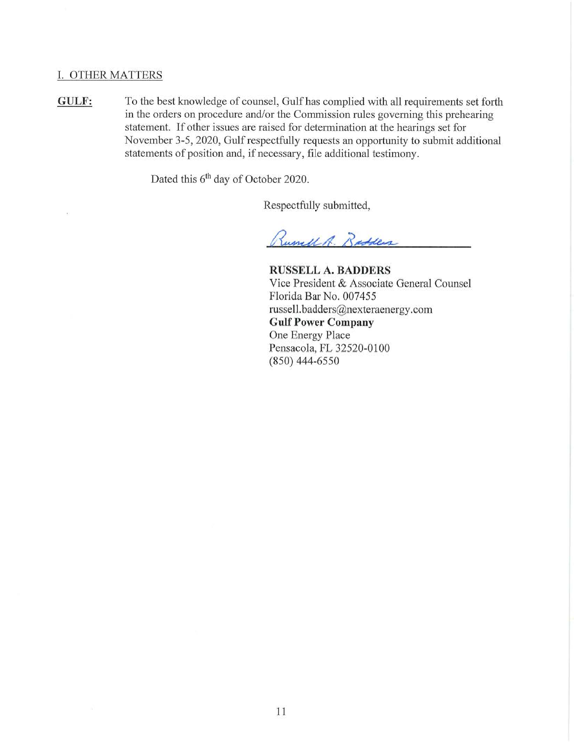#### I. OTHER MATTERS

**GULF:** To the best knowledge of counsel, Gulf has complied with all requirements set forth in the orders on procedure and/or the Commission rules governing this prehearing statement. If other issues are raised for determination at the hearings set for November 3-5, 2020, Gulf respectfully requests an opportunity to submit additional statements of position and, if necessary, file additional testimony.

Dated this 6<sup>th</sup> day of October 2020.

Respectfully submitted,

Rumel A. Radders

**RUSSELL A. BADDERS**  Vice President & Associate General Counsel Florida Bar No. 007455 russell. badders@nexteraenergy .corn **Gulf Power Company**  One Energy Place Pensacola, FL 32520-0100 (850) 444-6550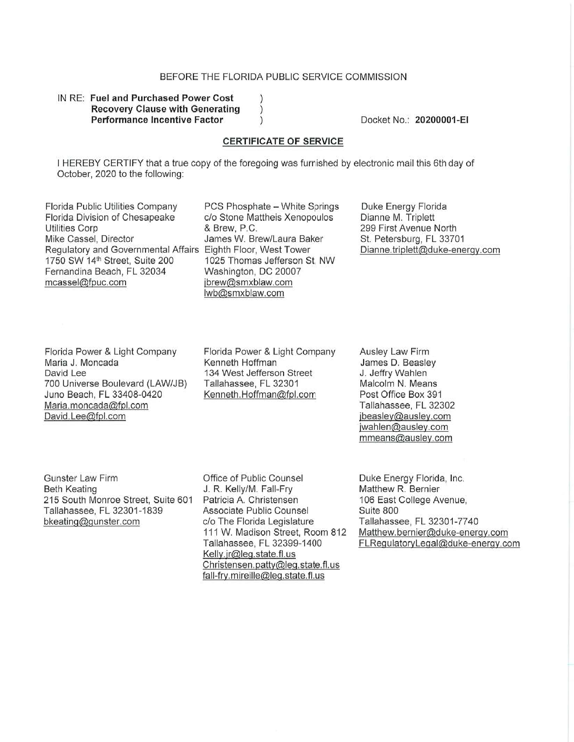#### BEFORE THE FLORIDA PUBLIC SERVICE COMMISSION

#### IN RE: **Fuel and Purchased Power Cost Recovery Clause with Generating Performance Incentive Factor**

Docket No. : **20200001-EI** 

#### **CERTIFICATE OF SERVICE**

I HEREBY CERTIFY that a true copy of the foregoing was furnished by electronic mail this 6th day of October, 2020 to the following:

 $\mathcal{E}$  $\mathcal{C}$ 

Florida Public Utilities Company PCS Phosphate - White Springs Florida Division of Chesapeake c/o Stone Mattheis Xenopoulos Utilities Corp **by Community 8** Brew, P.C. Mike Cassel, Director **Interpreterate Cassel**, Director Regulatory and Governmental Affairs Eighth Floor, West Tower 1750 SW 14<sup>th</sup> Street, Suite 200 1025 Thomas Jefferson St, NW Fernandina Beach, FL 32034 Washington, DC 20007 mcassel@fpuc.com ibrew@smxblaw.com

lwb@smxblaw.com

Duke Energy Florida Dianne M. Triplett 299 First Avenue North St. Petersburg, FL 33701 Dianne.triplett@duke-energy.com

Florida Power & Light Company Maria J. Moncada David Lee 700 Universe Boulevard (LAW/JB) Juno Beach, FL 33408-0420 Maria.moncada@fpl.com David.Lee@fpl.com

Florida Power & Light Company Kenneth Hoffman 134 West Jefferson Street Tallahassee, FL 32301 Kenneth.Hoffman@fpl.com

Ausley Law Firm James D. Beasley J. Jeffry Wahlen Malcolm N. Means Post Office Box 391 Tallahassee, FL 32302 jbeasley@ausley.com jwahlen@ausley.com mmeans@ausley.com

Gunster Law Firm Beth Keating 215 South Monroe Street, Suite 601 Tallahassee, FL 32301-1839 bkeating@qunster.com

Office of Public Counsel J. R. Kelly/M. Fall-Fry Patricia A. Christensen Associate Public Counsel c/o The Florida Legislature 111 W. Madison Street, Room 812 Tallahassee, FL 32399-1400 Kelly.jr@leg.state.fl.us Christensen.patty@leq.state.fl.us fall-fry.mireille@leg.state.fl.us

Duke Energy Florida, Inc. Matthew R. Bernier 106 East College Avenue, Suite 800 Tallahassee, FL 32301-7740 Matthew.bernier@duke~energy.com FLRegulatoryLegal@duke-energy.com